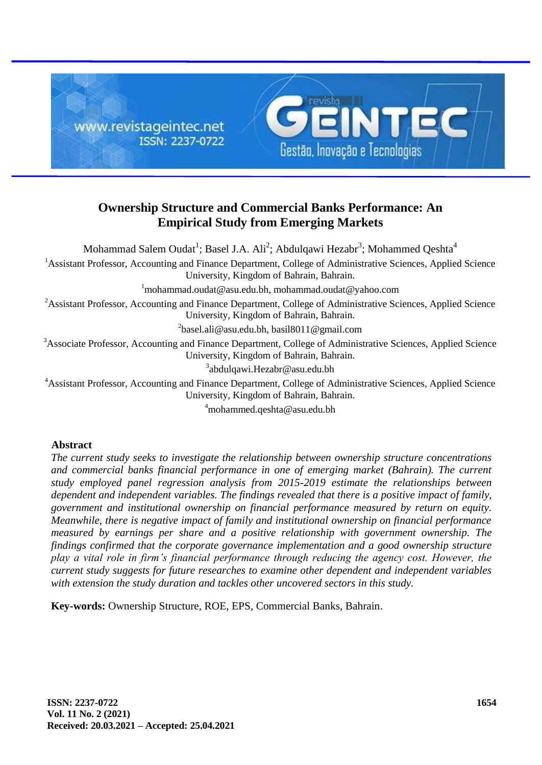

# **Ownership Structure and Commercial Banks Performance: An Empirical Study from Emerging Markets**

Mohammad Salem Oudat $^1$ ; Basel J.A. Ali $^2$ ; Abdulqawi Hezabr $^3$ ; Mohammed Qeshta $^4$ <sup>1</sup>Assistant Professor, Accounting and Finance Department, College of Administrative Sciences, Applied Science University, Kingdom of Bahrain, Bahrain.  $1$ mohammad.oudat@asu.edu.bh, mohammad.oudat@yahoo.com <sup>2</sup>Assistant Professor, Accounting and Finance Department, College of Administrative Sciences, Applied Science University, Kingdom of Bahrain, Bahrain.  $^{2}$ basel.ali@asu.edu.bh, basil8011@gmail.com <sup>3</sup>Associate Professor, Accounting and Finance Department, College of Administrative Sciences, Applied Science University, Kingdom of Bahrain, Bahrain. <sup>3</sup>abdulqawi.Hezabr@asu.edu.bh

<sup>4</sup>Assistant Professor, Accounting and Finance Department, College of Administrative Sciences, Applied Science University, Kingdom of Bahrain, Bahrain.

<sup>4</sup>mohammed.qeshta@asu.edu.bh

# **Abstract**

*The current study seeks to investigate the relationship between ownership structure concentrations*  and commercial banks financial performance in one of emerging market (Bahrain). The current *study employed panel regression analysis from 2015-2019 estimate the relationships between dependent and independent variables. The findings revealed that there is a positive impact of family, government and institutional ownership on financial performance measured by return on equity. Meanwhile, there is negative impact of family and institutional ownership on financial performance measured by earnings per share and a positive relationship with government ownership. The findings confirmed that the corporate governance implementation and a good ownership structure play a vital role in firm's financial performance through reducing the agency cost. However, the current study suggests for future researches to examine other dependent and independent variables with extension the study duration and tackles other uncovered sectors in this study.*

**Key-words:** Ownership Structure, ROE, EPS, Commercial Banks, Bahrain.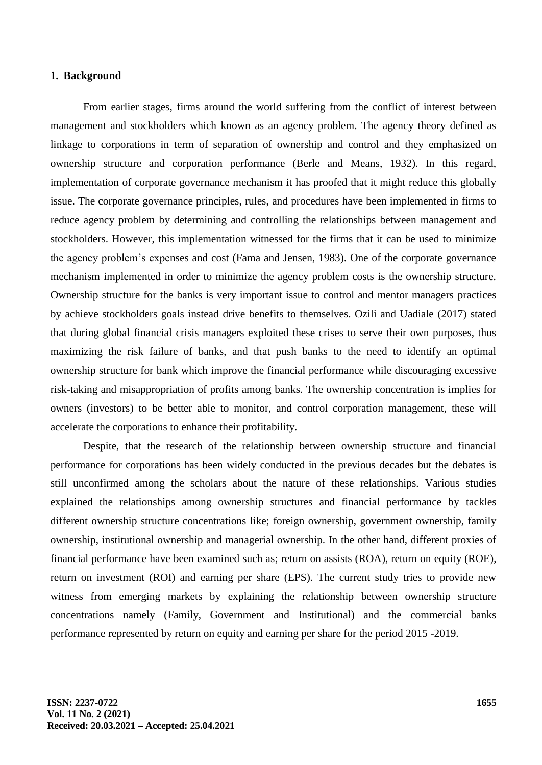#### **1. Background**

From earlier stages, firms around the world suffering from the conflict of interest between management and stockholders which known as an agency problem. The agency theory defined as linkage to corporations in term of separation of ownership and control and they emphasized on ownership structure and corporation performance (Berle and Means, 1932). In this regard, implementation of corporate governance mechanism it has proofed that it might reduce this globally issue. The corporate governance principles, rules, and procedures have been implemented in firms to reduce agency problem by determining and controlling the relationships between management and stockholders. However, this implementation witnessed for the firms that it can be used to minimize the agency problem's expenses and cost (Fama and Jensen, 1983). One of the corporate governance mechanism implemented in order to minimize the agency problem costs is the ownership structure. Ownership structure for the banks is very important issue to control and mentor managers practices by achieve stockholders goals instead drive benefits to themselves. Ozili and Uadiale (2017) stated that during global financial crisis managers exploited these crises to serve their own purposes, thus maximizing the risk failure of banks, and that push banks to the need to identify an optimal ownership structure for bank which improve the financial performance while discouraging excessive risk-taking and misappropriation of profits among banks. The ownership concentration is implies for owners (investors) to be better able to monitor, and control corporation management, these will accelerate the corporations to enhance their profitability.

Despite, that the research of the relationship between ownership structure and financial performance for corporations has been widely conducted in the previous decades but the debates is still unconfirmed among the scholars about the nature of these relationships. Various studies explained the relationships among ownership structures and financial performance by tackles different ownership structure concentrations like; foreign ownership, government ownership, family ownership, institutional ownership and managerial ownership. In the other hand, different proxies of financial performance have been examined such as; return on assists (ROA), return on equity (ROE), return on investment (ROI) and earning per share (EPS). The current study tries to provide new witness from emerging markets by explaining the relationship between ownership structure concentrations namely (Family, Government and Institutional) and the commercial banks performance represented by return on equity and earning per share for the period 2015 -2019.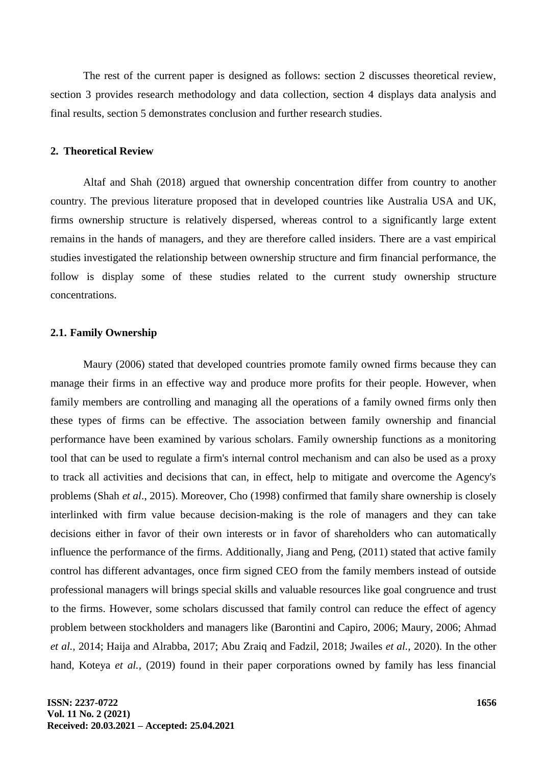The rest of the current paper is designed as follows: section 2 discusses theoretical review, section 3 provides research methodology and data collection, section 4 displays data analysis and final results, section 5 demonstrates conclusion and further research studies.

#### **2. Theoretical Review**

Altaf and Shah (2018) argued that ownership concentration differ from country to another country. The previous literature proposed that in developed countries like Australia USA and UK, firms ownership structure is relatively dispersed, whereas control to a significantly large extent remains in the hands of managers, and they are therefore called insiders. There are a vast empirical studies investigated the relationship between ownership structure and firm financial performance, the follow is display some of these studies related to the current study ownership structure concentrations.

# **2.1. Family Ownership**

Maury (2006) stated that developed countries promote family owned firms because they can manage their firms in an effective way and produce more profits for their people. However, when family members are controlling and managing all the operations of a family owned firms only then these types of firms can be effective. The association between family ownership and financial performance have been examined by various scholars. Family ownership functions as a monitoring tool that can be used to regulate a firm's internal control mechanism and can also be used as a proxy to track all activities and decisions that can, in effect, help to mitigate and overcome the Agency's problems (Shah *et al*., 2015). Moreover, Cho (1998) confirmed that family share ownership is closely interlinked with firm value because decision-making is the role of managers and they can take decisions either in favor of their own interests or in favor of shareholders who can automatically influence the performance of the firms. Additionally, Jiang and Peng, (2011) stated that active family control has different advantages, once firm signed CEO from the family members instead of outside professional managers will brings special skills and valuable resources like goal congruence and trust to the firms. However, some scholars discussed that family control can reduce the effect of agency problem between stockholders and managers like (Barontini and Capiro, 2006; Maury, 2006; Ahmad *et al.,* 2014; Haija and Alrabba, 2017; Abu Zraiq and Fadzil, 2018; Jwailes *et al.,* 2020). In the other hand, Koteya *et al.,* (2019) found in their paper corporations owned by family has less financial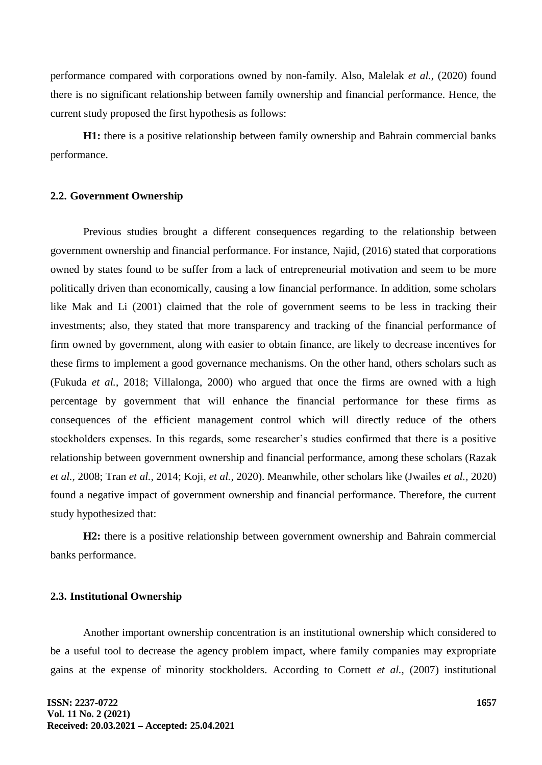performance compared with corporations owned by non-family. Also, Malelak *et al.,* (2020) found there is no significant relationship between family ownership and financial performance. Hence, the current study proposed the first hypothesis as follows:

**H1:** there is a positive relationship between family ownership and Bahrain commercial banks performance.

#### **2.2. Government Ownership**

Previous studies brought a different consequences regarding to the relationship between government ownership and financial performance. For instance, Najid, (2016) stated that corporations owned by states found to be suffer from a lack of entrepreneurial motivation and seem to be more politically driven than economically, causing a low financial performance. In addition, some scholars like Mak and Li (2001) claimed that the role of government seems to be less in tracking their investments; also, they stated that more transparency and tracking of the financial performance of firm owned by government, along with easier to obtain finance, are likely to decrease incentives for these firms to implement a good governance mechanisms. On the other hand, others scholars such as (Fukuda *et al.*, 2018; Villalonga, 2000) who argued that once the firms are owned with a high percentage by government that will enhance the financial performance for these firms as consequences of the efficient management control which will directly reduce of the others stockholders expenses. In this regards, some researcher's studies confirmed that there is a positive relationship between government ownership and financial performance, among these scholars (Razak *et al.,* 2008; Tran *et al.,* 2014; Koji, *et al.,* 2020). Meanwhile, other scholars like (Jwailes *et al.,* 2020) found a negative impact of government ownership and financial performance. Therefore, the current study hypothesized that:

**H2:** there is a positive relationship between government ownership and Bahrain commercial banks performance.

#### **2.3. Institutional Ownership**

Another important ownership concentration is an institutional ownership which considered to be a useful tool to decrease the agency problem impact, where family companies may expropriate gains at the expense of minority stockholders. According to Cornett *et al.,* (2007) institutional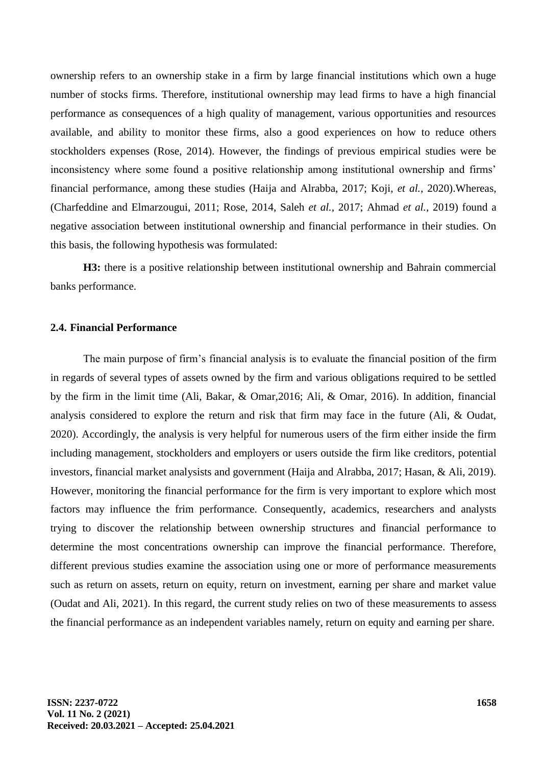ownership refers to an ownership stake in a firm by large financial institutions which own a huge number of stocks firms. Therefore, institutional ownership may lead firms to have a high financial performance as consequences of a high quality of management, various opportunities and resources available, and ability to monitor these firms, also a good experiences on how to reduce others stockholders expenses (Rose, 2014). However, the findings of previous empirical studies were be inconsistency where some found a positive relationship among institutional ownership and firms' financial performance, among these studies (Haija and Alrabba, 2017; Koji, *et al.,* 2020).Whereas, (Charfeddine and Elmarzougui, 2011; Rose, 2014, Saleh *et al.,* 2017; Ahmad *et al.,* 2019) found a negative association between institutional ownership and financial performance in their studies. On this basis, the following hypothesis was formulated:

**H3:** there is a positive relationship between institutional ownership and Bahrain commercial banks performance.

## **2.4. Financial Performance**

The main purpose of firm's financial analysis is to evaluate the financial position of the firm in regards of several types of assets owned by the firm and various obligations required to be settled by the firm in the limit time (Ali, Bakar, & Omar,2016; Ali, & Omar, 2016). In addition, financial analysis considered to explore the return and risk that firm may face in the future (Ali, & Oudat, 2020). Accordingly, the analysis is very helpful for numerous users of the firm either inside the firm including management, stockholders and employers or users outside the firm like creditors, potential investors, financial market analysists and government (Haija and Alrabba, 2017; Hasan, & Ali, 2019). However, monitoring the financial performance for the firm is very important to explore which most factors may influence the frim performance. Consequently, academics, researchers and analysts trying to discover the relationship between ownership structures and financial performance to determine the most concentrations ownership can improve the financial performance. Therefore, different previous studies examine the association using one or more of performance measurements such as return on assets, return on equity, return on investment, earning per share and market value (Oudat and Ali, 2021). In this regard, the current study relies on two of these measurements to assess the financial performance as an independent variables namely, return on equity and earning per share.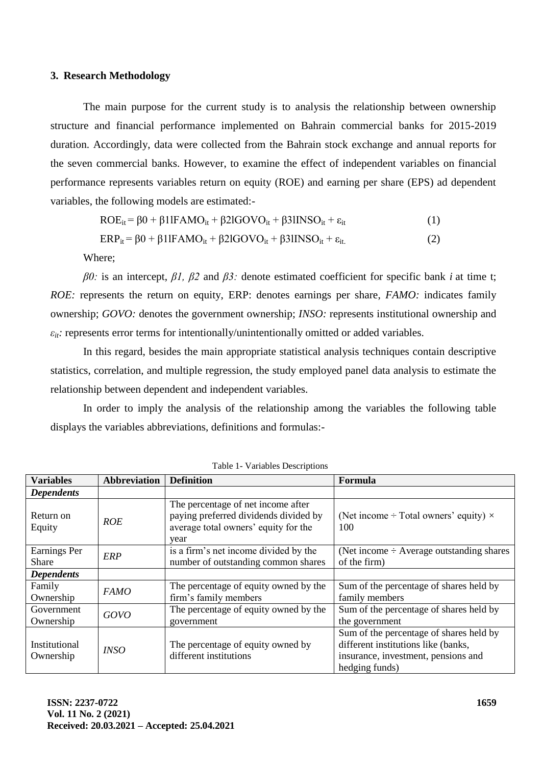#### **3. Research Methodology**

The main purpose for the current study is to analysis the relationship between ownership structure and financial performance implemented on Bahrain commercial banks for 2015-2019 duration. Accordingly, data were collected from the Bahrain stock exchange and annual reports for the seven commercial banks. However, to examine the effect of independent variables on financial performance represents variables return on equity (ROE) and earning per share (EPS) ad dependent variables, the following models are estimated:-

$$
ROE_{it} = \beta 0 + \beta 1lFAMO_{it} + \beta 2lGOVO_{it} + \beta 3lINSO_{it} + \varepsilon_{it}
$$
 (1)

$$
ERP_{it} = \beta 0 + \beta 1lFAMO_{it} + \beta 2lGOVO_{it} + \beta 3lINSO_{it} + \varepsilon_{it} \tag{2}
$$

Where;

*β0:* is an intercept, *β1, β2* and *β3:* denote estimated coefficient for specific bank *i* at time t; *ROE:* represents the return on equity, ERP: denotes earnings per share, *FAMO:* indicates family ownership; *GOVO:* denotes the government ownership; *INSO:* represents institutional ownership and  $\varepsilon_{it}$ : represents error terms for intentionally/unintentionally omitted or added variables.

In this regard, besides the main appropriate statistical analysis techniques contain descriptive statistics, correlation, and multiple regression, the study employed panel data analysis to estimate the relationship between dependent and independent variables.

In order to imply the analysis of the relationship among the variables the following table displays the variables abbreviations, definitions and formulas:-

| <b>Variables</b>             | <b>Abbreviation</b> | <b>Definition</b>                                                                                                           | Formula                                                                                                                                 |
|------------------------------|---------------------|-----------------------------------------------------------------------------------------------------------------------------|-----------------------------------------------------------------------------------------------------------------------------------------|
| <b>Dependents</b>            |                     |                                                                                                                             |                                                                                                                                         |
| Return on<br>Equity          | <b>ROE</b>          | The percentage of net income after<br>paying preferred dividends divided by<br>average total owners' equity for the<br>vear | (Net income $\div$ Total owners' equity) $\times$<br>100                                                                                |
| Earnings Per<br><b>Share</b> | <b>ERP</b>          | is a firm's net income divided by the<br>number of outstanding common shares                                                | (Net income $\div$ Average outstanding shares<br>of the firm)                                                                           |
| <b>Dependents</b>            |                     |                                                                                                                             |                                                                                                                                         |
| Family<br>Ownership          | <i>FAMO</i>         | The percentage of equity owned by the<br>firm's family members                                                              | Sum of the percentage of shares held by<br>family members                                                                               |
| Government<br>Ownership      | GOVO                | The percentage of equity owned by the<br>government                                                                         | Sum of the percentage of shares held by<br>the government                                                                               |
| Institutional<br>Ownership   | <i>INSO</i>         | The percentage of equity owned by<br>different institutions                                                                 | Sum of the percentage of shares held by<br>different institutions like (banks,<br>insurance, investment, pensions and<br>hedging funds) |

Table 1- Variables Descriptions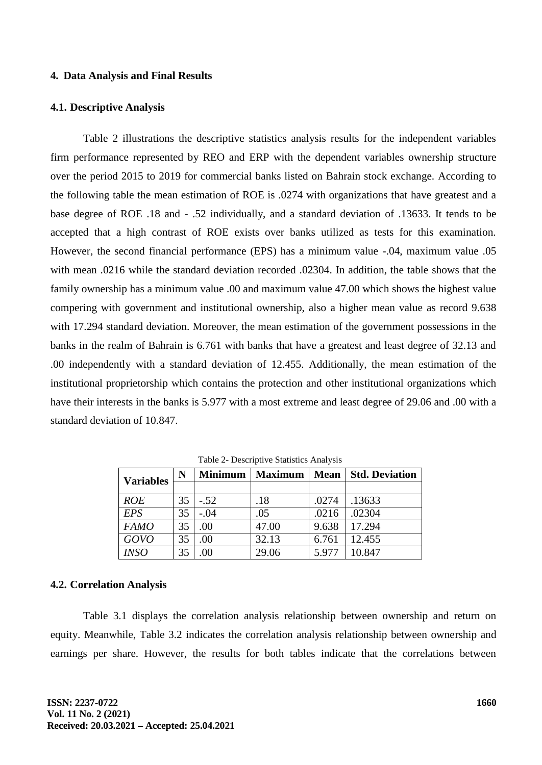#### **4. Data Analysis and Final Results**

#### **4.1. Descriptive Analysis**

Table 2 illustrations the descriptive statistics analysis results for the independent variables firm performance represented by REO and ERP with the dependent variables ownership structure over the period 2015 to 2019 for commercial banks listed on Bahrain stock exchange. According to the following table the mean estimation of ROE is .0274 with organizations that have greatest and a base degree of ROE .18 and - .52 individually, and a standard deviation of .13633. It tends to be accepted that a high contrast of ROE exists over banks utilized as tests for this examination. However, the second financial performance (EPS) has a minimum value -.04, maximum value .05 with mean .0216 while the standard deviation recorded .02304. In addition, the table shows that the family ownership has a minimum value .00 and maximum value 47.00 which shows the highest value compering with government and institutional ownership, also a higher mean value as record 9.638 with 17.294 standard deviation. Moreover, the mean estimation of the government possessions in the banks in the realm of Bahrain is 6.761 with banks that have a greatest and least degree of 32.13 and .00 independently with a standard deviation of 12.455. Additionally, the mean estimation of the institutional proprietorship which contains the protection and other institutional organizations which have their interests in the banks is 5.977 with a most extreme and least degree of 29.06 and .00 with a standard deviation of 10.847.

| <b>Variables</b> | N  | <b>Minimum</b> | <b>Maximum</b> | <b>Mean</b> | <b>Std. Deviation</b> |
|------------------|----|----------------|----------------|-------------|-----------------------|
|                  |    |                |                |             |                       |
| <b>ROE</b>       | 35 | $-.52$         | .18            | .0274       | .13633                |
| <b>EPS</b>       | 35 | $-.04$         | .05            | .0216       | .02304                |
| <b>FAMO</b>      | 35 | .00.           | 47.00          | 9.638       | 17.294                |
| GOVO             | 35 | .00            | 32.13          | 6.761       | 12.455                |
| <b>INSO</b>      | 35 | 00             | 29.06          | 5.977       | 10.847                |

Table 2- Descriptive Statistics Analysis

#### **4.2. Correlation Analysis**

Table 3.1 displays the correlation analysis relationship between ownership and return on equity. Meanwhile, Table 3.2 indicates the correlation analysis relationship between ownership and earnings per share. However, the results for both tables indicate that the correlations between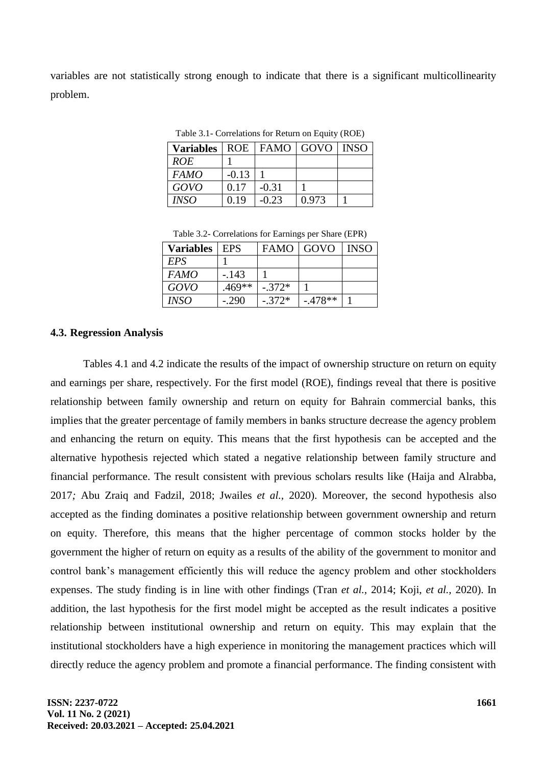variables are not statistically strong enough to indicate that there is a significant multicollinearity problem.

| <b>Variables</b> | <b>ROE</b> |         | FAMO   GOVO   INSO |  |  |  |
|------------------|------------|---------|--------------------|--|--|--|
| <i>ROE</i>       |            |         |                    |  |  |  |
| <i>FAMO</i>      | $-0.13$    |         |                    |  |  |  |
| GOVO             | 0.17       | $-0.31$ |                    |  |  |  |
| <b>INSO</b>      | 0.19       | $-0.23$ | 0.973              |  |  |  |

Table 3.1- Correlations for Return on Equity (ROE)

Table 3.2- Correlations for Earnings per Share (EPR)

| <b>Variables</b> | <b>EPS</b> | <b>FAMO</b> | GOVO     | <b>INSO</b> |
|------------------|------------|-------------|----------|-------------|
| EPS              |            |             |          |             |
| <b>FAMO</b>      | -.143      |             |          |             |
| GOVO             | $.469**$   | $-.372*$    |          |             |
| <i>INSO</i>      | $-290$     | $-.372*$    | $-478**$ |             |

## **4.3. Regression Analysis**

Tables 4.1 and 4.2 indicate the results of the impact of ownership structure on return on equity and earnings per share, respectively. For the first model (ROE), findings reveal that there is positive relationship between family ownership and return on equity for Bahrain commercial banks, this implies that the greater percentage of family members in banks structure decrease the agency problem and enhancing the return on equity. This means that the first hypothesis can be accepted and the alternative hypothesis rejected which stated a negative relationship between family structure and financial performance. The result consistent with previous scholars results like (Haija and Alrabba, 2017*;* Abu Zraiq and Fadzil, 2018; Jwailes *et al.,* 2020). Moreover, the second hypothesis also accepted as the finding dominates a positive relationship between government ownership and return on equity. Therefore, this means that the higher percentage of common stocks holder by the government the higher of return on equity as a results of the ability of the government to monitor and control bank's management efficiently this will reduce the agency problem and other stockholders expenses. The study finding is in line with other findings (Tran *et al.,* 2014; Koji, *et al.,* 2020). In addition, the last hypothesis for the first model might be accepted as the result indicates a positive relationship between institutional ownership and return on equity. This may explain that the institutional stockholders have a high experience in monitoring the management practices which will directly reduce the agency problem and promote a financial performance. The finding consistent with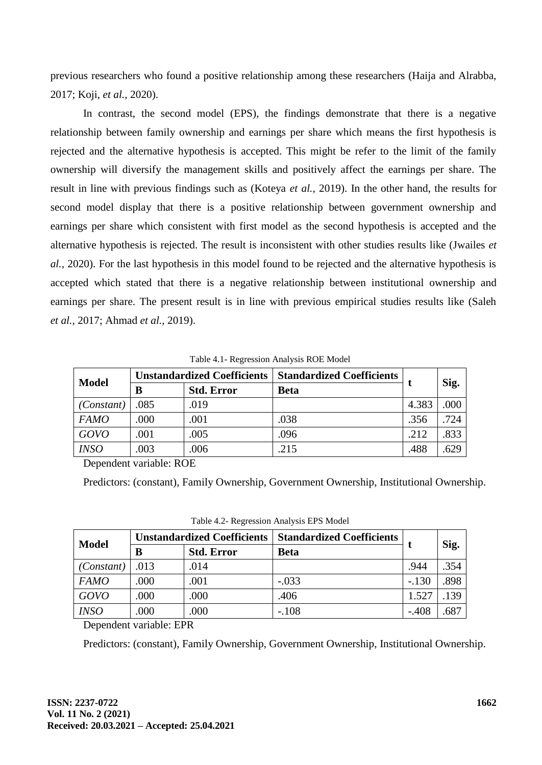previous researchers who found a positive relationship among these researchers (Haija and Alrabba, 2017; Koji, *et al.,* 2020).

In contrast, the second model (EPS), the findings demonstrate that there is a negative relationship between family ownership and earnings per share which means the first hypothesis is rejected and the alternative hypothesis is accepted. This might be refer to the limit of the family ownership will diversify the management skills and positively affect the earnings per share. The result in line with previous findings such as (Koteya *et al.,* 2019). In the other hand, the results for second model display that there is a positive relationship between government ownership and earnings per share which consistent with first model as the second hypothesis is accepted and the alternative hypothesis is rejected. The result is inconsistent with other studies results like (Jwailes *et al.,* 2020). For the last hypothesis in this model found to be rejected and the alternative hypothesis is accepted which stated that there is a negative relationship between institutional ownership and earnings per share. The present result is in line with previous empirical studies results like (Saleh *et al.,* 2017; Ahmad *et al.,* 2019).

| <b>Model</b> | <b>Unstandardized Coefficients</b> |                   | <b>Standardized Coefficients</b> |       |      |
|--------------|------------------------------------|-------------------|----------------------------------|-------|------|
|              | В                                  | <b>Std. Error</b> | <b>Beta</b>                      |       | Sig. |
| (Constant)   | .085                               | .019              |                                  | 4.383 | .000 |
| <b>FAMO</b>  | .000                               | .001              | .038                             | .356  | .724 |
| <b>GOVO</b>  | .001                               | .005              | .096                             | .212  | .833 |
| <b>INSO</b>  | .003                               | .006              | .215                             | .488  | .629 |

Table 4.1- Regression Analysis ROE Model

Dependent variable: ROE

Predictors: (constant), Family Ownership, Government Ownership, Institutional Ownership.

| <b>Model</b> | <b>Unstandardized Coefficients</b> |                   | <b>Standardized Coefficients</b> |         |      |
|--------------|------------------------------------|-------------------|----------------------------------|---------|------|
|              | B                                  | <b>Std. Error</b> | <b>Beta</b>                      |         | Sig. |
| (Constant)   | .013                               | .014              |                                  | .944    | .354 |
| <b>FAMO</b>  | .000                               | .001              | $-.033$                          | $-.130$ | .898 |
| GOVO         | .000                               | .000              | .406                             | 1.527   | .139 |
| <b>INSO</b>  | .000                               | .000              | $-.108$                          | $-.408$ | .687 |

Table 4.2- Regression Analysis EPS Model

Dependent variable: EPR

Predictors: (constant), Family Ownership, Government Ownership, Institutional Ownership.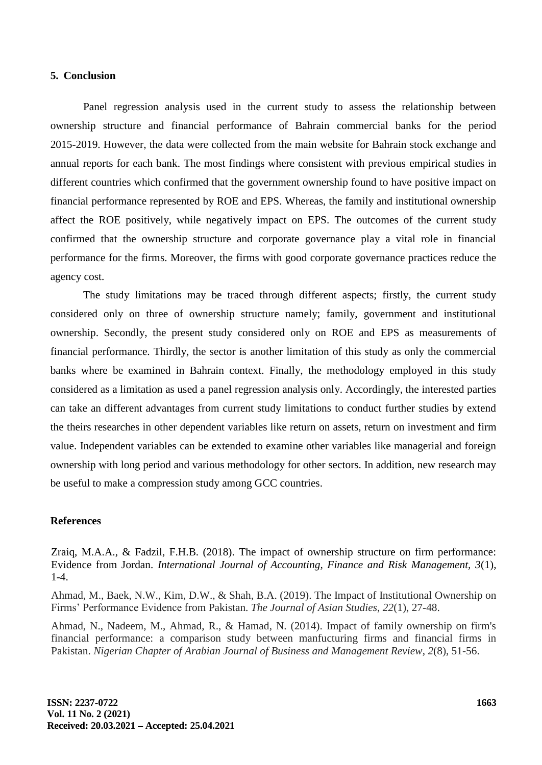#### **5. Conclusion**

Panel regression analysis used in the current study to assess the relationship between ownership structure and financial performance of Bahrain commercial banks for the period 2015-2019. However, the data were collected from the main website for Bahrain stock exchange and annual reports for each bank. The most findings where consistent with previous empirical studies in different countries which confirmed that the government ownership found to have positive impact on financial performance represented by ROE and EPS. Whereas, the family and institutional ownership affect the ROE positively, while negatively impact on EPS. The outcomes of the current study confirmed that the ownership structure and corporate governance play a vital role in financial performance for the firms. Moreover, the firms with good corporate governance practices reduce the agency cost.

The study limitations may be traced through different aspects; firstly, the current study considered only on three of ownership structure namely; family, government and institutional ownership. Secondly, the present study considered only on ROE and EPS as measurements of financial performance. Thirdly, the sector is another limitation of this study as only the commercial banks where be examined in Bahrain context. Finally, the methodology employed in this study considered as a limitation as used a panel regression analysis only. Accordingly, the interested parties can take an different advantages from current study limitations to conduct further studies by extend the theirs researches in other dependent variables like return on assets, return on investment and firm value. Independent variables can be extended to examine other variables like managerial and foreign ownership with long period and various methodology for other sectors. In addition, new research may be useful to make a compression study among GCC countries.

#### **References**

Zraiq, M.A.A., & Fadzil, F.H.B. (2018). The impact of ownership structure on firm performance: Evidence from Jordan. *International Journal of Accounting, Finance and Risk Management, 3*(1), 1-4.

Ahmad, M., Baek, N.W., Kim, D.W., & Shah, B.A. (2019). The Impact of Institutional Ownership on Firms' Performance Evidence from Pakistan. *The Journal of Asian Studies*, *22*(1), 27-48.

Ahmad, N., Nadeem, M., Ahmad, R., & Hamad, N. (2014). Impact of family ownership on firm's financial performance: a comparison study between manfucturing firms and financial firms in Pakistan. *Nigerian Chapter of Arabian Journal of Business and Management Review*, *2*(8), 51-56.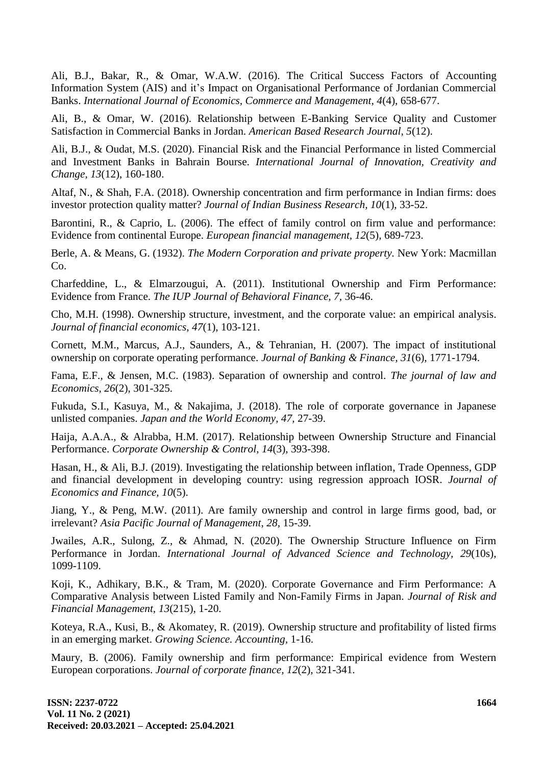Ali, B.J., Bakar, R., & Omar, W.A.W. (2016). The Critical Success Factors of Accounting Information System (AIS) and it's Impact on Organisational Performance of Jordanian Commercial Banks. *International Journal of Economics, Commerce and Management, 4*(4), 658-677.

Ali, B., & Omar, W. (2016). Relationship between E-Banking Service Quality and Customer Satisfaction in Commercial Banks in Jordan. *American Based Research Journal, 5*(12).

Ali, B.J., & Oudat, M.S. (2020). Financial Risk and the Financial Performance in listed Commercial and Investment Banks in Bahrain Bourse. *International Journal of Innovation, Creativity and Change, 13*(12), 160-180.

Altaf, N., & Shah, F.A. (2018). Ownership concentration and firm performance in Indian firms: does investor protection quality matter? *Journal of Indian Business Research, 10*(1), 33-52.

Barontini, R., & Caprio, L. (2006). The effect of family control on firm value and performance: Evidence from continental Europe. *European financial management, 12*(5), 689-723.

Berle, A. & Means, G. (1932). *The Modern Corporation and private property.* New York: Macmillan Co.

Charfeddine, L., & Elmarzougui, A. (2011). Institutional Ownership and Firm Performance: Evidence from France. *The IUP Journal of Behavioral Finance, 7,* 36-46.

Cho, M.H. (1998). Ownership structure, investment, and the corporate value: an empirical analysis. *Journal of financial economics, 47*(1), 103-121.

Cornett, M.M., Marcus, A.J., Saunders, A., & Tehranian, H. (2007). The impact of institutional ownership on corporate operating performance. *Journal of Banking & Finance, 31*(6), 1771-1794.

Fama, E.F., & Jensen, M.C. (1983). Separation of ownership and control. *The journal of law and Economics, 26*(2), 301-325.

Fukuda, S.I., Kasuya, M., & Nakajima, J. (2018). The role of corporate governance in Japanese unlisted companies. *Japan and the World Economy, 47,* 27-39.

Haija, A.A.A., & Alrabba, H.M. (2017). Relationship between Ownership Structure and Financial Performance. *Corporate Ownership & Control*, *14*(3), 393-398.

Hasan, H., & Ali, B.J. (2019). Investigating the relationship between inflation, Trade Openness, GDP and financial development in developing country: using regression approach IOSR. *Journal of Economics and Finance, 10*(5).

Jiang, Y., & Peng, M.W. (2011). Are family ownership and control in large firms good, bad, or irrelevant? *Asia Pacific Journal of Management*, *28,* 15-39.

Jwailes, A.R., Sulong, Z., & Ahmad, N. (2020). The Ownership Structure Influence on Firm Performance in Jordan. *International Journal of Advanced Science and Technology, 29*(10s), 1099-1109.

Koji, K., Adhikary, B.K., & Tram, M. (2020). Corporate Governance and Firm Performance: A Comparative Analysis between Listed Family and Non-Family Firms in Japan. *Journal of Risk and Financial Management, 13*(215), 1-20.

Koteya, R.A., Kusi, B., & Akomatey, R. (2019). Ownership structure and profitability of listed firms in an emerging market. *Growing Science. Accounting,* 1-16.

Maury, B. (2006). Family ownership and firm performance: Empirical evidence from Western European corporations. *Journal of corporate finance, 12*(2), 321-341.